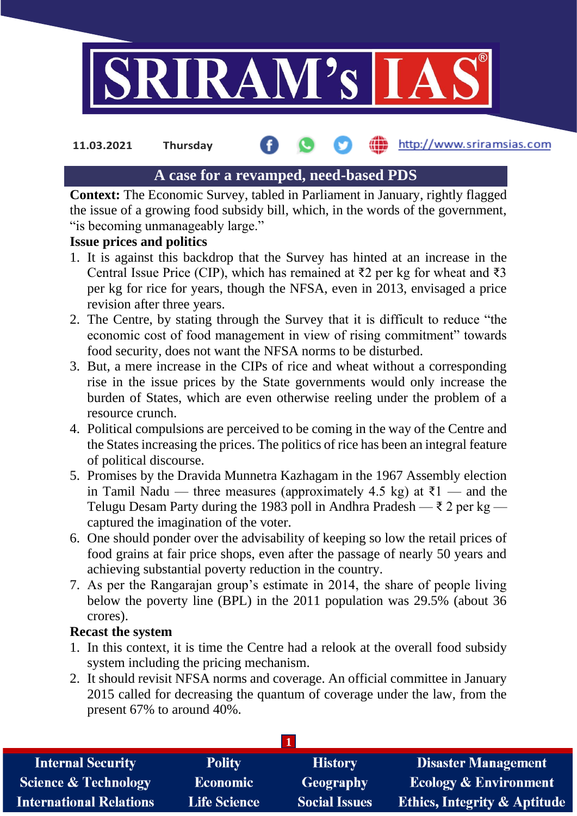

http://www.sriramsias.com **11.03.2021 Thursday**

# **A case for a revamped, need-based PDS**

**Context:** The Economic Survey, tabled in Parliament in January, rightly flagged the issue of a growing food subsidy bill, which, in the words of the government, "is becoming unmanageably large."

### **Issue prices and politics**

- 1. It is against this backdrop that the Survey has hinted at an increase in the Central Issue Price (CIP), which has remained at  $\overline{z}2$  per kg for wheat and  $\overline{z}3$ per kg for rice for years, though the NFSA, even in 2013, envisaged a price revision after three years.
- 2. The Centre, by stating through the Survey that it is difficult to reduce "the economic cost of food management in view of rising commitment" towards food security, does not want the NFSA norms to be disturbed.
- 3. But, a mere increase in the CIPs of rice and wheat without a corresponding rise in the issue prices by the State governments would only increase the burden of States, which are even otherwise reeling under the problem of a resource crunch.
- 4. Political compulsions are perceived to be coming in the way of the Centre and the States increasing the prices. The politics of rice has been an integral feature of political discourse.
- 5. Promises by the Dravida Munnetra Kazhagam in the 1967 Assembly election in Tamil Nadu — three measures (approximately 4.5 kg) at  $\bar{\tau}$ 1 — and the Telugu Desam Party during the 1983 poll in Andhra Pradesh —  $\bar{\tau}$  2 per kg captured the imagination of the voter.
- 6. One should ponder over the advisability of keeping so low the retail prices of food grains at fair price shops, even after the passage of nearly 50 years and achieving substantial poverty reduction in the country.
- 7. As per the Rangarajan group's estimate in 2014, the share of people living below the poverty line (BPL) in the 2011 population was 29.5% (about 36 crores).

### **Recast the system**

- 1. In this context, it is time the Centre had a relook at the overall food subsidy system including the pricing mechanism.
- 2. It should revisit NFSA norms and coverage. An official committee in January 2015 called for decreasing the quantum of coverage under the law, from the present 67% to around 40%.

| <b>Internal Security</b>        | <b>Polity</b>       | <b>History</b>       | <b>Disaster Management</b>              |  |  |
|---------------------------------|---------------------|----------------------|-----------------------------------------|--|--|
| <b>Science &amp; Technology</b> | <b>Economic</b>     | Geography            | <b>Ecology &amp; Environment</b>        |  |  |
| <b>International Relations</b>  | <b>Life Science</b> | <b>Social Issues</b> | <b>Ethics, Integrity &amp; Aptitude</b> |  |  |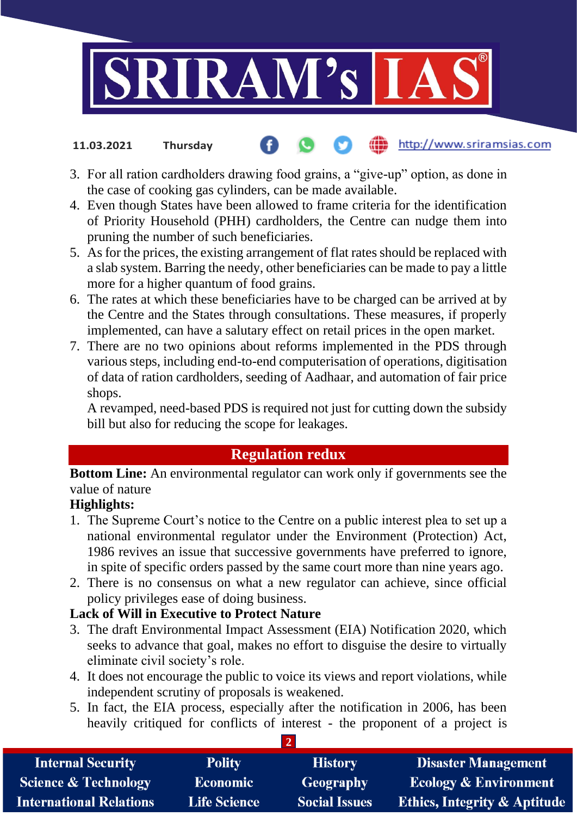

- http://www.sriramsias.com **11.03.2021 Thursday**
- 3. For all ration cardholders drawing food grains, a "give-up" option, as done in the case of cooking gas cylinders, can be made available.
- 4. Even though States have been allowed to frame criteria for the identification of Priority Household (PHH) cardholders, the Centre can nudge them into pruning the number of such beneficiaries.
- 5. As for the prices, the existing arrangement of flat rates should be replaced with a slab system. Barring the needy, other beneficiaries can be made to pay a little more for a higher quantum of food grains.
- 6. The rates at which these beneficiaries have to be charged can be arrived at by the Centre and the States through consultations. These measures, if properly implemented, can have a salutary effect on retail prices in the open market.
- 7. There are no two opinions about reforms implemented in the PDS through various steps, including end-to-end computerisation of operations, digitisation of data of ration cardholders, seeding of Aadhaar, and automation of fair price shops.

A revamped, need-based PDS is required not just for cutting down the subsidy bill but also for reducing the scope for leakages.

# **Regulation redux**

**Bottom Line:** An environmental regulator can work only if governments see the value of nature

# **Highlights:**

- 1. The Supreme Court's notice to the Centre on a public interest plea to set up a national environmental regulator under the Environment (Protection) Act, 1986 revives an issue that successive governments have preferred to ignore, in spite of specific orders passed by the same court more than nine years ago.
- 2. There is no consensus on what a new regulator can achieve, since official policy privileges ease of doing business.

# **Lack of Will in Executive to Protect Nature**

- 3. The draft Environmental Impact Assessment (EIA) Notification 2020, which seeks to advance that goal, makes no effort to disguise the desire to virtually eliminate civil society's role.
- 4. It does not encourage the public to voice its views and report violations, while independent scrutiny of proposals is weakened.
- 5. In fact, the EIA process, especially after the notification in 2006, has been heavily critiqued for conflicts of interest - the proponent of a project is

| <b>Internal Security</b>        | <b>Polity</b>       | <b>History</b>       | <b>Disaster Management</b>              |  |  |  |
|---------------------------------|---------------------|----------------------|-----------------------------------------|--|--|--|
| <b>Science &amp; Technology</b> | <b>Economic</b>     | <b>Geography</b>     | <b>Ecology &amp; Environment</b>        |  |  |  |
| <b>International Relations</b>  | <b>Life Science</b> | <b>Social Issues</b> | <b>Ethics, Integrity &amp; Aptitude</b> |  |  |  |